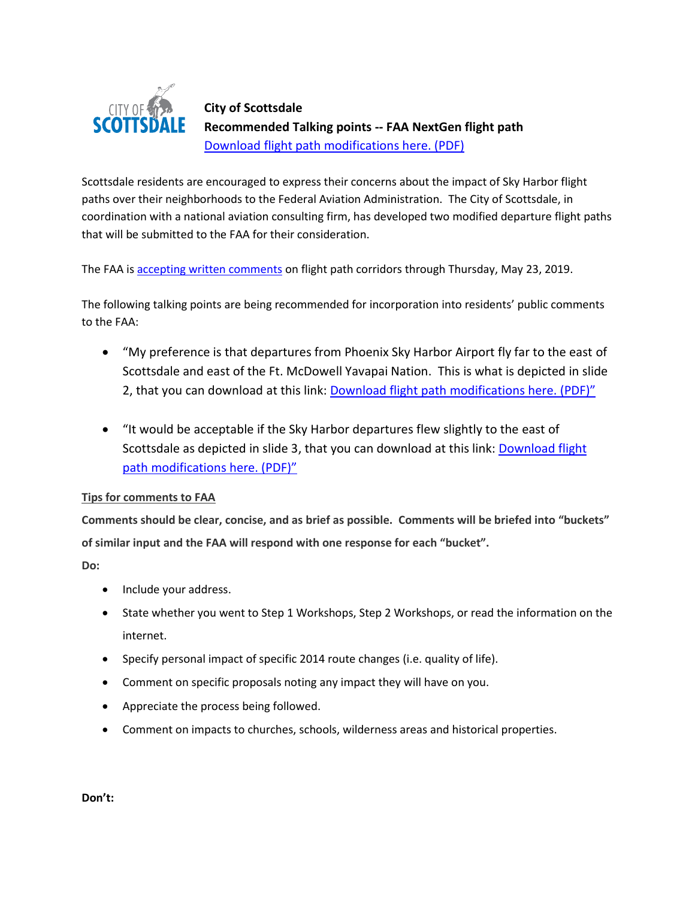

## **City of Scottsdale Recommended Talking points -- FAA NextGen flight path**  [Download flight path modifications](https://www.scottsdaleaz.gov/Assets/ScottsdaleAZ/News/News+Images/News+documents/FAA-flight-path-recommendations.pdf) here. (PDF)

Scottsdale residents are encouraged to express their concerns about the impact of Sky Harbor flight paths over their neighborhoods to the Federal Aviation Administration. The City of Scottsdale, in coordination with a national aviation consulting firm, has developed two modified departure flight paths that will be submitted to the FAA for their consideration.

The FAA is [accepting written comments](https://www.faa.gov/nextgen/nextgen_near_you/community_involvement/phx/) on flight path corridors through Thursday, May 23, 2019.

The following talking points are being recommended for incorporation into residents' public comments to the FAA:

- "My preference is that departures from Phoenix Sky Harbor Airport fly far to the east of Scottsdale and east of the Ft. McDowell Yavapai Nation. This is what is depicted in slide 2, that you can download at this link: [Download flight path modifications](https://www.scottsdaleaz.gov/Assets/ScottsdaleAZ/News/News+Images/News+documents/FAA-flight-path-recommendations.pdf) here. (PDF)"
- "It would be acceptable if the Sky Harbor departures flew slightly to the east of Scottsdale as depicted in slide 3, that you can download at this link: Download flight [path modifications](https://www.scottsdaleaz.gov/Assets/ScottsdaleAZ/News/News+Images/News+documents/FAA-flight-path-recommendations.pdf) here. (PDF)"

## **Tips for comments to FAA**

**Comments should be clear, concise, and as brief as possible. Comments will be briefed into "buckets" of similar input and the FAA will respond with one response for each "bucket".**

**Do:**

- Include your address.
- State whether you went to Step 1 Workshops, Step 2 Workshops, or read the information on the internet.
- Specify personal impact of specific 2014 route changes (i.e. quality of life).
- Comment on specific proposals noting any impact they will have on you.
- Appreciate the process being followed.
- Comment on impacts to churches, schools, wilderness areas and historical properties.

**Don't:**